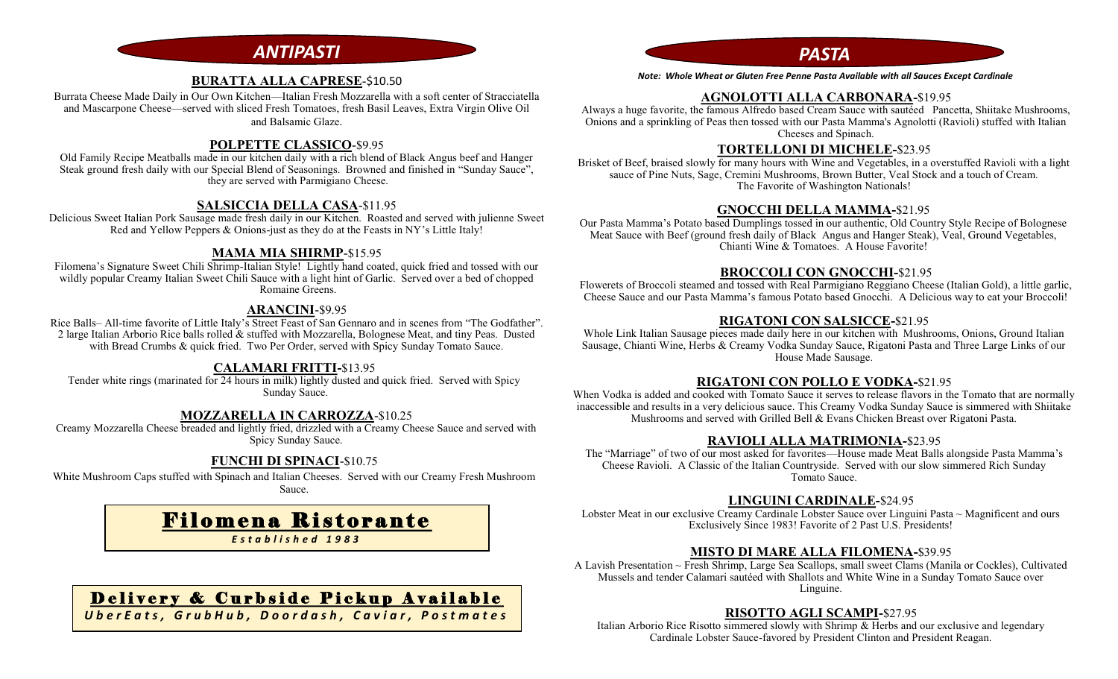# *ANTIPASTI PASTA*

### **BURATTA ALLA CAPRESE**-\$10.50

Burrata Cheese Made Daily in Our Own Kitchen—Italian Fresh Mozzarella with a soft center of Stracciatella and Mascarpone Cheese—served with sliced Fresh Tomatoes, fresh Basil Leaves, Extra Virgin Olive Oil and Balsamic Glaze.

#### **POLPETTE CLASSICO**-\$9.95

Old Family Recipe Meatballs made in our kitchen daily with a rich blend of Black Angus beef and Hanger Steak ground fresh daily with our Special Blend of Seasonings. Browned and finished in "Sunday Sauce", they are served with Parmigiano Cheese.

#### **SALSICCIA DELLA CASA**-\$11.95

Delicious Sweet Italian Pork Sausage made fresh daily in our Kitchen. Roasted and served with julienne Sweet Red and Yellow Peppers & Onions-just as they do at the Feasts in NY's Little Italy!

#### **MAMA MIA SHIRMP**-\$15.95

Filomena's Signature Sweet Chili Shrimp-Italian Style! Lightly hand coated, quick fried and tossed with our wildly popular Creamy Italian Sweet Chili Sauce with a light hint of Garlic. Served over a bed of chopped Romaine Greens.

#### **ARANCINI**-\$9.95

Rice Balls– All-time favorite of Little Italy's Street Feast of San Gennaro and in scenes from "The Godfather". 2 large Italian Arborio Rice balls rolled & stuffed with Mozzarella, Bolognese Meat, and tiny Peas. Dusted with Bread Crumbs & quick fried. Two Per Order, served with Spicy Sunday Tomato Sauce.

#### **CALAMARI FRITTI-**\$13.95

Tender white rings (marinated for 24 hours in milk) lightly dusted and quick fried. Served with Spicy Sunday Sauce.

#### **MOZZARELLA IN CARROZZA**-\$10.25

Creamy Mozzarella Cheese breaded and lightly fried, drizzled with a Creamy Cheese Sauce and served with Spicy Sunday Sauce.

# **FUNCHI DI SPINACI**-\$10.75

White Mushroom Caps stuffed with Spinach and Italian Cheeses. Served with our Creamy Fresh Mushroom Sauce.

# Filomena Ristorante

*E s t a b l i s h e d 1 9 8 3*

# Delivery & Curbside Pickup Available

*U b e r E a t s , G r u b H u b , D o o r d a s h , C a v i a r , P o s t m a t e s*

*Note: Whole Wheat or Gluten Free Penne Pasta Available with all Sauces Except Cardinale*

## **AGNOLOTTI ALLA CARBONARA-**\$19.95

Always a huge favorite, the famous Alfredo based Cream Sauce with sautéed Pancetta, Shiitake Mushrooms, Onions and a sprinkling of Peas then tossed with our Pasta Mamma's Agnolotti (Ravioli) stuffed with Italian Cheeses and Spinach.

#### **TORTELLONI DI MICHELE-**\$23.95

Brisket of Beef, braised slowly for many hours with Wine and Vegetables, in a overstuffed Ravioli with a light sauce of Pine Nuts, Sage, Cremini Mushrooms, Brown Butter, Veal Stock and a touch of Cream. The Favorite of Washington Nationals!

## **GNOCCHI DELLA MAMMA-**\$21.95

Our Pasta Mamma's Potato based Dumplings tossed in our authentic, Old Country Style Recipe of Bolognese Meat Sauce with Beef (ground fresh daily of Black Angus and Hanger Steak), Veal, Ground Vegetables, Chianti Wine & Tomatoes. A House Favorite!

#### **BROCCOLI CON GNOCCHI-**\$21.95

Flowerets of Broccoli steamed and tossed with Real Parmigiano Reggiano Cheese (Italian Gold), a little garlic, Cheese Sauce and our Pasta Mamma's famous Potato based Gnocchi. A Delicious way to eat your Broccoli!

### **RIGATONI CON SALSICCE-**\$21.95

Whole Link Italian Sausage pieces made daily here in our kitchen with Mushrooms, Onions, Ground Italian Sausage, Chianti Wine, Herbs & Creamy Vodka Sunday Sauce, Rigatoni Pasta and Three Large Links of our House Made Sausage.

#### **RIGATONI CON POLLO E VODKA-**\$21.95

When Vodka is added and cooked with Tomato Sauce it serves to release flavors in the Tomato that are normally inaccessible and results in a very delicious sauce. This Creamy Vodka Sunday Sauce is simmered with Shiitake Mushrooms and served with Grilled Bell & Evans Chicken Breast over Rigatoni Pasta.

#### **RAVIOLI ALLA MATRIMONIA-**\$23.95

The "Marriage" of two of our most asked for favorites—House made Meat Balls alongside Pasta Mamma's Cheese Ravioli. A Classic of the Italian Countryside. Served with our slow simmered Rich Sunday Tomato Sauce.

### **LINGUINI CARDINALE-**\$24.95

Lobster Meat in our exclusive Creamy Cardinale Lobster Sauce over Linguini Pasta ~ Magnificent and ours Exclusively Since 1983! Favorite of 2 Past U.S. Presidents!

# **MISTO DI MARE ALLA FILOMENA-**\$39.95

A Lavish Presentation ~ Fresh Shrimp, Large Sea Scallops, small sweet Clams (Manila or Cockles), Cultivated Mussels and tender Calamari sautéed with Shallots and White Wine in a Sunday Tomato Sauce over Linguine.

### **RISOTTO AGLI SCAMPI-**\$27.95

Italian Arborio Rice Risotto simmered slowly with Shrimp & Herbs and our exclusive and legendary Cardinale Lobster Sauce-favored by President Clinton and President Reagan.